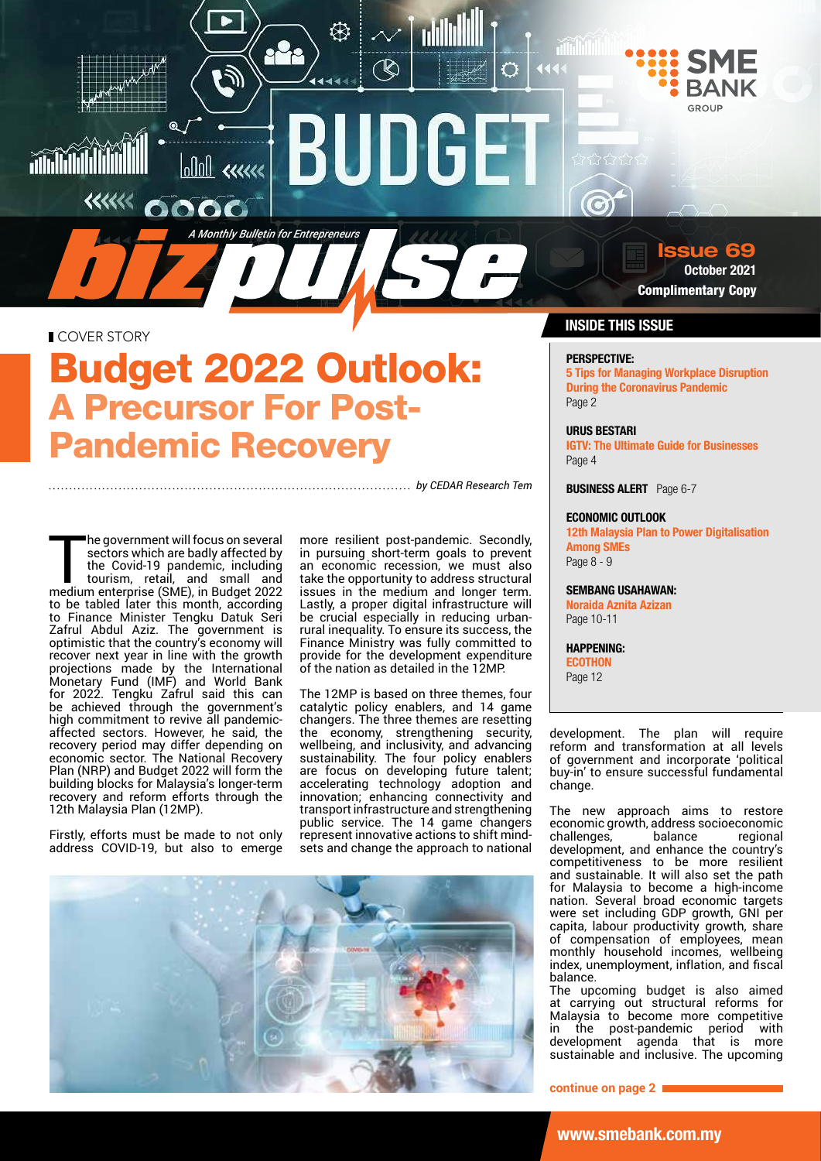

0000

**COVER STORY** 

 $\ll\ll\ll$ 

**THU AND STATE** 

# Budget 2022 Outlook: A Precursor For Post-Pandemic Recovery

*A Monthly Bulletin for Entrepreneurs*

انع<br>ال

 $\boxed{\text{old}}$  exerce

*by CEDAR Research Tem*

The government will focus on several<br>sectors which are badly affected by<br>the Covid-19 pandemic, including<br>tourism, retail, and small and<br>medium enterprise (SME), in Budget 2022 sectors which are badly affected by the Covid-19 pandemic, including tourism, retail, and small and medium enterprise (SME), in Budget 2022 to be tabled later this month, according to Finance Minister Tengku Datuk Seri Zafrul Abdul Aziz. The government is optimistic that the country's economy will recover next year in line with the growth projections made by the International Monetary Fund (IMF) and World Bank for 2022. Tengku Zafrul said this can be achieved through the government's high commitment to revive all pandemicaffected sectors. However, he said, the recovery period may differ depending on economic sector. The National Recovery Plan (NRP) and Budget 2022 will form the building blocks for Malaysia's longer-term recovery and reform efforts through the 12th Malaysia Plan (12MP).

Firstly, efforts must be made to not only address COVID-19, but also to emerge more resilient post-pandemic. Secondly, in pursuing short-term goals to prevent an economic recession, we must also take the opportunity to address structural issues in the medium and longer term. Lastly, a proper digital infrastructure will be crucial especially in reducing urbanrural inequality. To ensure its success, the Finance Ministry was fully committed to provide for the development expenditure of the nation as detailed in the 12MP.

 $\mathbb{Q}$ 

Ö

NG E

The 12MP is based on three themes, four catalytic policy enablers, and 14 game changers. The three themes are resetting the economy, strengthening security, wellbeing, and inclusivity, and advancing sustainability. The four policy enablers are focus on developing future talent; accelerating technology adoption and innovation; enhancing connectivity and transport infrastructure and strengthening public service. The 14 game changers represent innovative actions to shift mindsets and change the approach to national



# sue 69

October 2021 Complimentary Copy

# INSIDE THIS ISSUE

# PERSPECTIVE:

5 Tips for Managing Workplace Disruption During the Coronavirus Pandemic Page 2

# URUS BESTARI

IGTV: The Ultimate Guide for Businesses Page 4

**BUSINESS ALERT** Page 6-7

### ECONOMIC OUTLOOK

12th Malaysia Plan to Power Digitalisation Among SMEs Page 8 - 9

SEMBANG USAHAWAN: Noraida Aznita Azizan Page 10-11

HAPPENING: **ECOTHON** Page 12

development. The plan will require reform and transformation at all levels of government and incorporate 'political buy-in' to ensure successful fundamental change.

The new approach aims to restore economic growth, address socioeconomic challenges, development, and enhance the country's competitiveness to be more resilient and sustainable. It will also set the path for Malaysia to become a high-income nation. Several broad economic targets were set including GDP growth, GNI per capita, labour productivity growth, share of compensation of employees, mean monthly household incomes, wellbeing index, unemployment, inflation, and fiscal balance.

The upcoming budget is also aimed at carrying out structural reforms for Malaysia to become more competitive in the post-pandemic period with development agenda that is more sustainable and inclusive. The upcoming

**continue on page 2**

www.smebank.com.my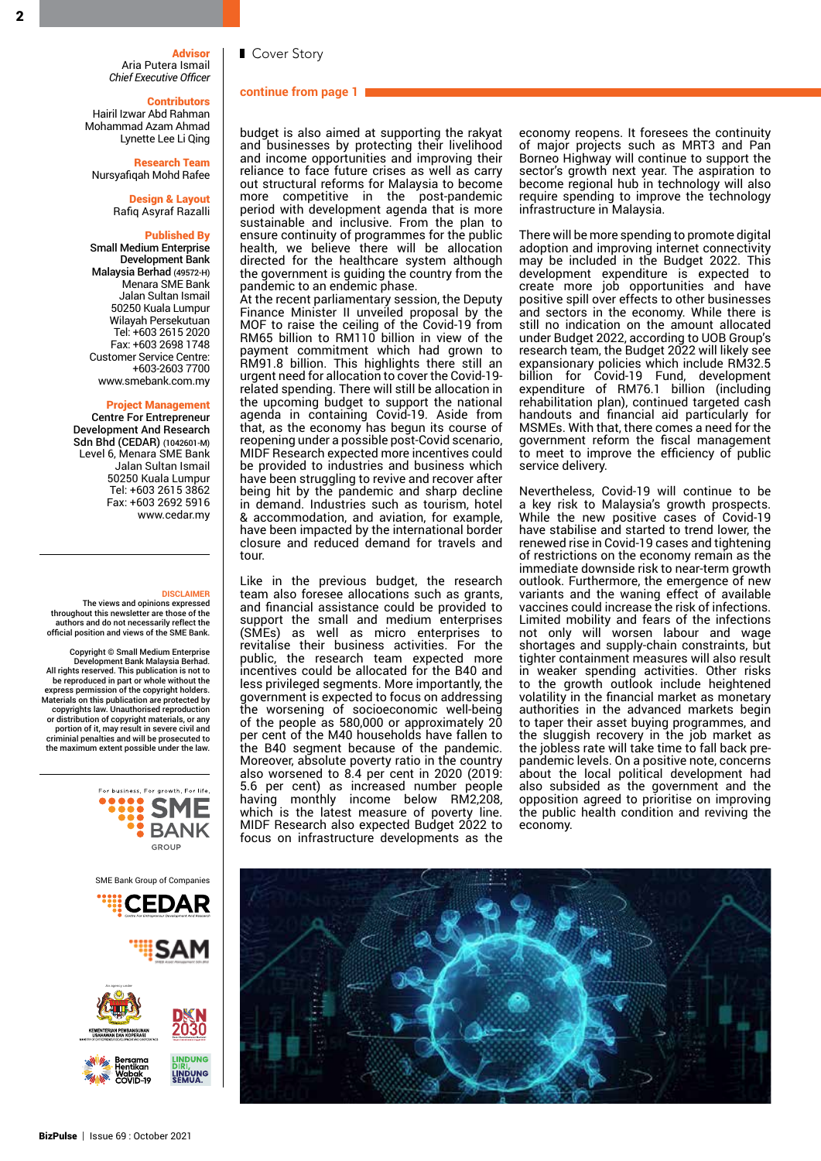**Advisor** Aria Putera Ismail *Chief Executive Officer*

### ■ Cover Story

### **continue from page 1**

**Contributors** Hairil Izwar Abd Rahman Mohammad Azam Ahmad Lynette Lee Li Qing

Research Team Nursyafiqah Mohd Rafee

> Design & Layout Rafiq Asyraf Razalli

### Published By

Small Medium Enterprise Development Bank Malaysia Berhad (49572-H) Menara SME Bank Jalan Sultan Ismail 50250 Kuala Lumpur Wilayah Persekutuan Tel: +603 2615 2020 Fax: +603 2698 1748 Customer Service Centre: +603-2603 7700 www.smebank.com.my

### Project Management

Centre For Entrepreneur Development And Research Sdn Bhd (CEDAR) (1042601-M) Level 6, Menara SME Bank Jalan Sultan Ismail 50250 Kuala Lumpur Tel: +603 2615 3862 Fax: +603 2692 5916 www.cedar.my

#### **DISCLAIMER**

 The views and opinions expressed throughout this newsletter are those of the authors and do not necessarily reflect the official position and views of the SME Bank.

Copyright © Small Medium Enterprise Development Bank Malaysia Berhad. All rights reserved. This publication is not to be reproduced in part or whole without the express permission of the copyright holders. Materials on this publication are protected by copyrights law. Unauthorised reproduction or distribution of copyright materials, or any portion of it, may result in severe civil and criminial penalties and will be prosecuted to the maximum extent possible under the law.



budget is also aimed at supporting the rakyat and businesses by protecting their livelihood and income opportunities and improving their reliance to face future crises as well as carry out structural reforms for Malaysia to become more competitive in the post-pandemic period with development agenda that is more sustainable and inclusive. From the plan to ensure continuity of programmes for the public health, we believe there will be allocation directed for the healthcare system although the government is guiding the country from the pandemic to an endemic phase.

At the recent parliamentary session, the Deputy Finance Minister II unveiled proposal by the MOF to raise the ceiling of the Covid-19 from RM65 billion to RM110 billion in view of the payment commitment which had grown to RM91.8 billion. This highlights there still an urgent need for allocation to cover the Covid-19 related spending. There will still be allocation in the upcoming budget to support the national agenda in containing Covid-19. Aside from that, as the economy has begun its course of reopening under a possible post-Covid scenario, MIDF Research expected more incentives could be provided to industries and business which have been struggling to revive and recover after being hit by the pandemic and sharp decline in demand. Industries such as tourism, hotel & accommodation, and aviation, for example, have been impacted by the international border closure and reduced demand for travels and tour.

Like in the previous budget, the research team also foresee allocations such as grants, and financial assistance could be provided to support the small and medium enterprises (SMEs) as well as micro enterprises to revitalise their business activities. For the public, the research team expected more incentives could be allocated for the B40 and less privileged segments. More importantly, the government is expected to focus on addressing the worsening of socioeconomic well-being of the people as 580,000 or approximately 20 per cent of the M40 households have fallen to the B40 segment because of the pandemic. Moreover, absolute poverty ratio in the country also worsened to 8.4 per cent in 2020 (2019: 5.6 per cent) as increased number people having monthly income below RM2,208, which is the latest measure of poverty line. MIDF Research also expected Budget 2022 to focus on infrastructure developments as the

economy reopens. It foresees the continuity of major projects such as MRT3 and Pan Borneo Highway will continue to support the sector's growth next year. The aspiration to become regional hub in technology will also require spending to improve the technology infrastructure in Malaysia.

There will be more spending to promote digital adoption and improving internet connectivity may be included in the Budget 2022. This development expenditure is expected to create more job opportunities and have positive spill over effects to other businesses and sectors in the economy. While there is still no indication on the amount allocated under Budget 2022, according to UOB Group's research team, the Budget 2022 will likely see expansionary policies which include RM32.5 billion for Covid-19 Fund, development expenditure of RM76.1 billion (including rehabilitation plan), continued targeted cash handouts and financial aid particularly for MSMEs. With that, there comes a need for the government reform the fiscal management to meet to improve the efficiency of public service delivery.

Nevertheless, Covid-19 will continue to be a key risk to Malaysia's growth prospects. While the new positive cases of Covid-19 have stabilise and started to trend lower, the renewed rise in Covid-19 cases and tightening of restrictions on the economy remain as the immediate downside risk to near-term growth outlook. Furthermore, the emergence of new variants and the waning effect of available vaccines could increase the risk of infections. Limited mobility and fears of the infections not only will worsen labour and wage shortages and supply-chain constraints, but tighter containment measures will also result in weaker spending activities. Other risks to the growth outlook include heightened volatility in the financial market as monetary authorities in the advanced markets begin to taper their asset buying programmes, and the sluggish recovery in the job market as the jobless rate will take time to fall back prepandemic levels. On a positive note, concerns about the local political development had also subsided as the government and the opposition agreed to prioritise on improving the public health condition and reviving the economy.

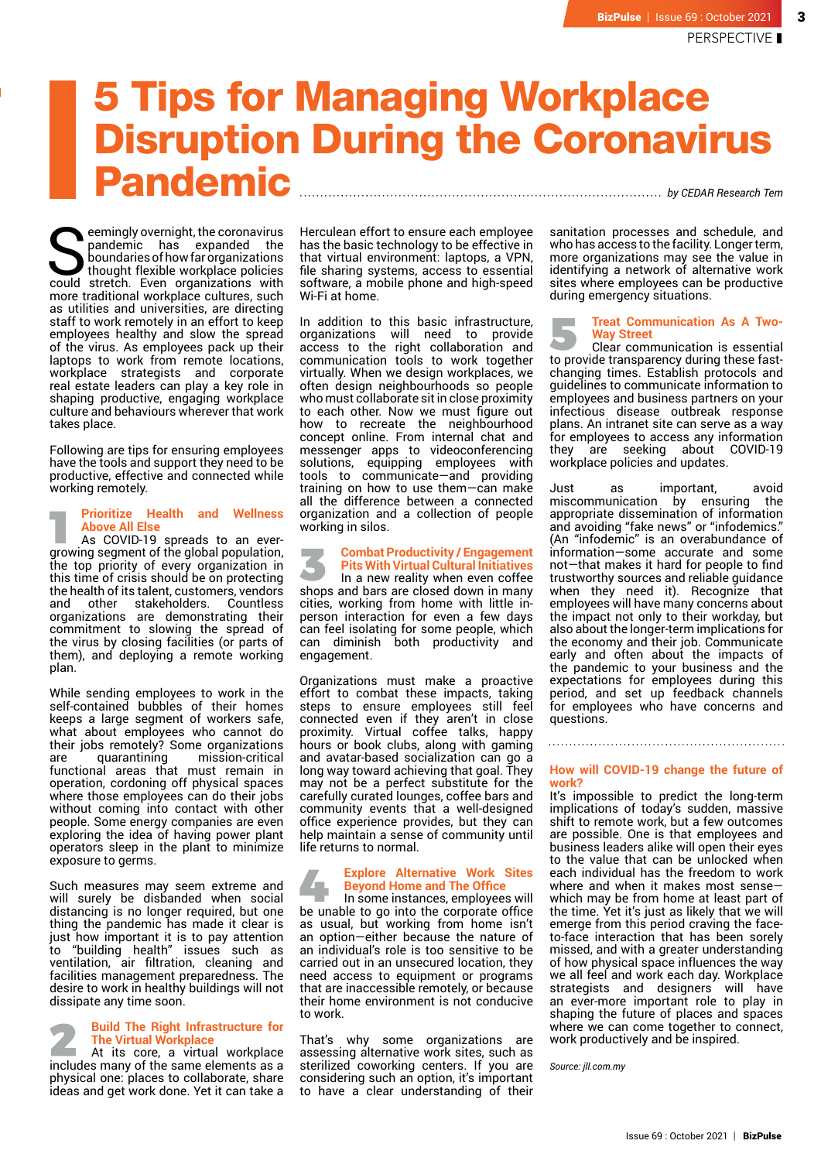# 5 Tips for Managing Workplace Disruption During the Coronavirus Pandemic *by CEDAR Research Tem*

Seemingly overnight, the coronavirus<br>pandemic has expanded the<br>boundaries of how far organizations<br>could stretch. Even organizations with pandemic has expanded the boundaries of how far organizations thought flexible workplace policies could stretch. Even organizations with more traditional workplace cultures, such as utilities and universities, are directing staff to work remotely in an effort to keep employees healthy and slow the spread of the virus. As employees pack up their laptops to work from remote locations, workplace strategists and corporate real estate leaders can play a key role in shaping productive, engaging workplace culture and behaviours wherever that work takes place.

Following are tips for ensuring employees have the tools and support they need to be productive, effective and connected while working remotely.

## **Prioritize Health and Wellness Above All Else**

As COVID-19 spreads to an evergrowing segment of the global population, the top priority of every organization in this time of crisis should be on protecting the health of its talent, customers, vendors and other stakeholders. Countless organizations are demonstrating their commitment to slowing the spread of the virus by closing facilities (or parts of them), and deploying a remote working plan.

While sending employees to work in the self-contained bubbles of their homes keeps a large segment of workers safe, what about employees who cannot do their jobs remotely? Some organizations<br>are quarantining mission-critical are quarantining mission-critical functional areas that must remain in operation, cordoning off physical spaces where those employees can do their jobs without coming into contact with other people. Some energy companies are even exploring the idea of having power plant operators sleep in the plant to minimize exposure to germs.

Such measures may seem extreme and will surely be disbanded when social distancing is no longer required, but one thing the pandemic has made it clear is just how important it is to pay attention to "building health" issues such as ventilation, air filtration, cleaning and facilities management preparedness. The desire to work in healthy buildings will not dissipate any time soon.

# **Build The Right Infrastructure for The Virtual Workplace**

a shekara At its core, a virtual workplace includes many of the same elements as a physical one: places to collaborate, share ideas and get work done. Yet it can take a Herculean effort to ensure each employee has the basic technology to be effective in that virtual environment: laptops, a VPN, file sharing systems, access to essential software, a mobile phone and high-speed Wi-Fi at home.

In addition to this basic infrastructure, organizations will need to provide access to the right collaboration and communication tools to work together virtually. When we design workplaces, we often design neighbourhoods so people who must collaborate sit in close proximity to each other. Now we must figure out how to recreate the neighbourhood concept online. From internal chat and messenger apps to videoconferencing solutions, equipping employees with tools to communicate—and providing training on how to use them—can make all the difference between a connected organization and a collection of people working in silos.

### **Combat Productivity / Engagement Pits With Virtual Cultural Initiatives**

In a new reality when even coffee shops and bars are closed down in many cities, working from home with little inperson interaction for even a few days can feel isolating for some people, which can diminish both productivity and engagement.

r.

Organizations must make a proactive effort to combat these impacts, taking steps to ensure employees still feel connected even if they aren't in close proximity. Virtual coffee talks, happy hours or book clubs, along with gaming and avatar-based socialization can go a long way toward achieving that goal. They may not be a perfect substitute for the carefully curated lounges, coffee bars and community events that a well-designed office experience provides, but they can help maintain a sense of community until life returns to normal.

### **Explore Alternative Work Sites Beyond Home and The Office**

In some instances, employees will be unable to go into the corporate office as usual, but working from home isn't an option—either because the nature of an individual's role is too sensitive to be carried out in an unsecured location, they need access to equipment or programs that are inaccessible remotely, or because their home environment is not conducive to work.

That's why some organizations are assessing alternative work sites, such as sterilized coworking centers. If you are considering such an option, it's important to have a clear understanding of their

sanitation processes and schedule, and who has access to the facility. Longer term, more organizations may see the value in identifying a network of alternative work sites where employees can be productive during emergency situations.

# **Treat Communication As A Two-Way Street**

Clear communication is essential to provide transparency during these fastchanging times. Establish protocols and guidelines to communicate information to employees and business partners on your infectious disease outbreak response plans. An intranet site can serve as a way for employees to access any information they are seeking about COVID-19 workplace policies and updates.

Just as important, avoid miscommunication by ensuring the appropriate dissemination of information and avoiding "fake news" or "infodemics." (An "infodemic" is an overabundance of information—some accurate and some not—that makes it hard for people to find trustworthy sources and reliable guidance when they need it). Recognize that employees will have many concerns about the impact not only to their workday, but also about the longer-term implications for the economy and their job. Communicate early and often about the impacts of the pandemic to your business and the expectations for employees during this period, and set up feedback channels for employees who have concerns and questions.

### **How will COVID-19 change the future of work?**

It's impossible to predict the long-term implications of today's sudden, massive shift to remote work, but a few outcomes are possible. One is that employees and business leaders alike will open their eyes to the value that can be unlocked when each individual has the freedom to work where and when it makes most sense which may be from home at least part of the time. Yet it's just as likely that we will emerge from this period craving the faceto-face interaction that has been sorely missed, and with a greater understanding of how physical space influences the way we all feel and work each day. Workplace strategists and designers will have an ever-more important role to play in shaping the future of places and spaces where we can come together to connect. work productively and be inspired.

*Source: jll.com.my*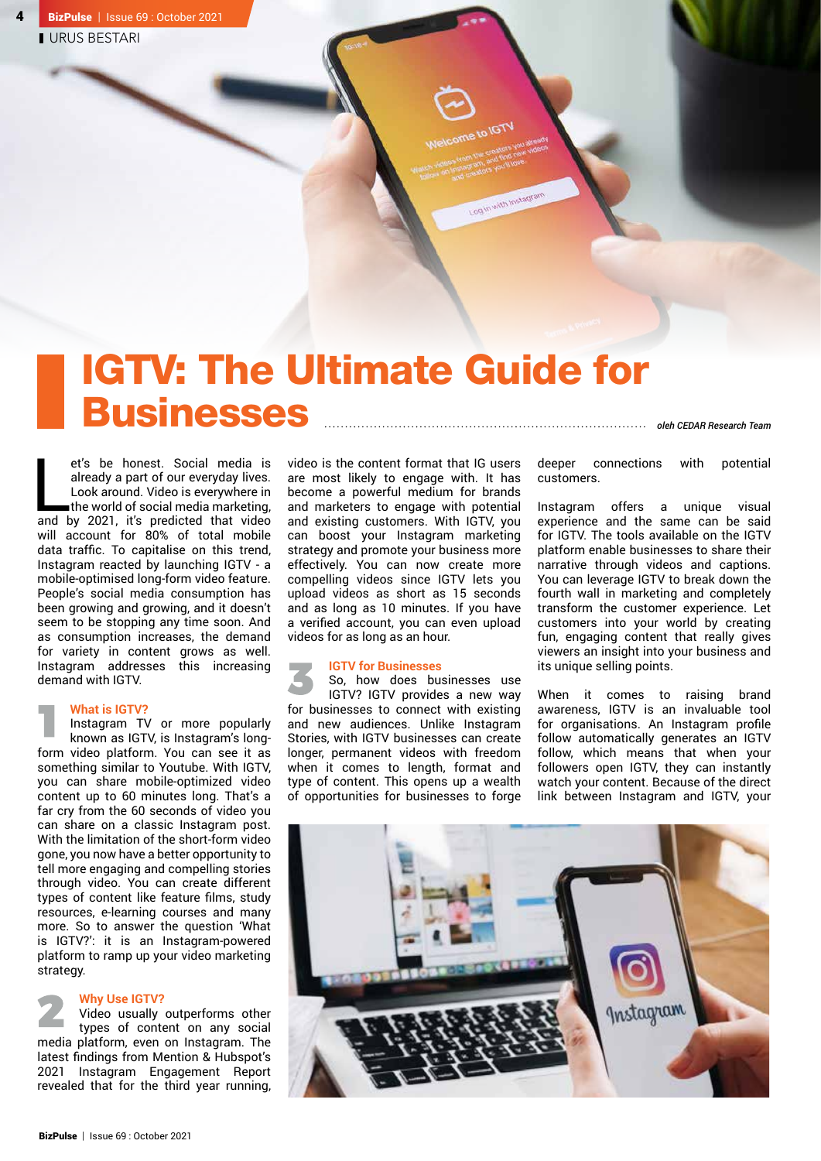# IGTV: The Ultimate Guide for Businesses *oleh CEDAR Research Team*

et's be honest. Social media is<br>already a part of our everyday lives.<br>Look around. Video is everywhere in<br>the world of social media marketing,<br>and by 2021, it's predicted that video et's be honest. Social media is already a part of our everyday lives. Look around. Video is everywhere in  $\blacksquare$  the world of social media marketing, will account for 80% of total mobile data traffic. To capitalise on this trend, Instagram reacted by launching IGTV - a mobile-optimised long-form video feature. People's social media consumption has been growing and growing, and it doesn't seem to be stopping any time soon. And as consumption increases, the demand for variety in content grows as well. Instagram addresses this increasing demand with IGTV.

# **What is IGTV?**

Instagram TV or more popularly known as IGTV, is Instagram's longform video platform. You can see it as something similar to Youtube. With IGTV, you can share mobile-optimized video content up to 60 minutes long. That's a far cry from the 60 seconds of video you can share on a classic Instagram post. With the limitation of the short-form video gone, you now have a better opportunity to tell more engaging and compelling stories through video. You can create different types of content like feature films, study resources, e-learning courses and many more. So to answer the question 'What is IGTV?': it is an Instagram-powered platform to ramp up your video marketing strategy.

## **Why Use IGTV?**

Video usually outperforms other types of content on any social media platform, even on Instagram. The latest findings from Mention & Hubspot's 2021 Instagram Engagement Report revealed that for the third year running, video is the content format that IG users are most likely to engage with. It has become a powerful medium for brands and marketers to engage with potential and existing customers. With IGTV, you can boost your Instagram marketing strategy and promote your business more effectively. You can now create more compelling videos since IGTV lets you upload videos as short as 15 seconds and as long as 10 minutes. If you have a verified account, you can even upload videos for as long as an hour.

Log in with Instagram

# **IGTV for Businesses**

So, how does businesses use IGTV? IGTV provides a new way for businesses to connect with existing and new audiences. Unlike Instagram Stories, with IGTV businesses can create longer, permanent videos with freedom when it comes to length, format and type of content. This opens up a wealth of opportunities for businesses to forge deeper connections with potential customers.

Instagram offers a unique visual experience and the same can be said for IGTV. The tools available on the IGTV platform enable businesses to share their narrative through videos and captions. You can leverage IGTV to break down the fourth wall in marketing and completely transform the customer experience. Let customers into your world by creating fun, engaging content that really gives viewers an insight into your business and its unique selling points.

When it comes to raising brand awareness, IGTV is an invaluable tool for organisations. An Instagram profile follow automatically generates an IGTV follow, which means that when your followers open IGTV, they can instantly watch your content. Because of the direct link between Instagram and IGTV, your

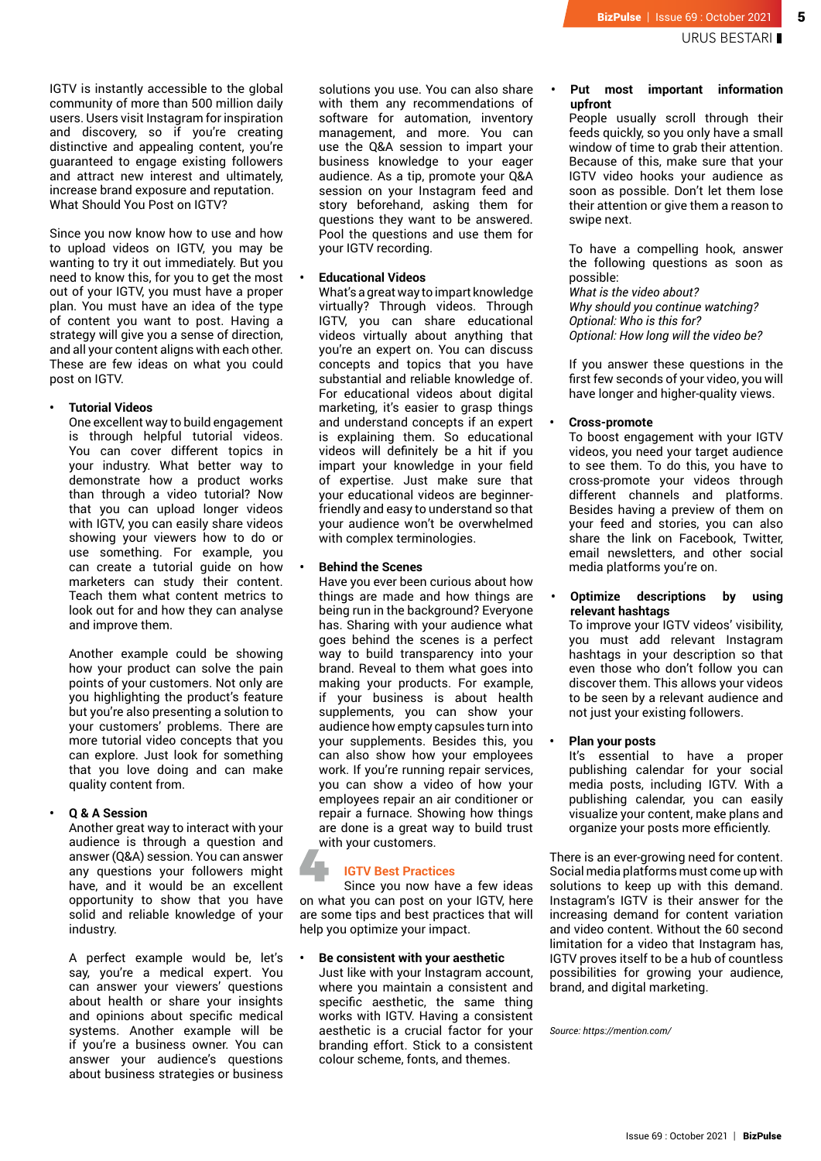5

IGTV is instantly accessible to the global community of more than 500 million daily users. Users visit Instagram for inspiration and discovery, so if you're creating distinctive and appealing content, you're guaranteed to engage existing followers and attract new interest and ultimately, increase brand exposure and reputation. What Should You Post on IGTV?

Since you now know how to use and how to upload videos on IGTV, you may be wanting to try it out immediately. But you need to know this, for you to get the most out of your IGTV, you must have a proper plan. You must have an idea of the type of content you want to post. Having a strategy will give you a sense of direction, and all your content aligns with each other. These are few ideas on what you could post on IGTV.

# **• Tutorial Videos**

One excellent way to build engagement is through helpful tutorial videos. You can cover different topics in your industry. What better way to demonstrate how a product works than through a video tutorial? Now that you can upload longer videos with IGTV, you can easily share videos showing your viewers how to do or use something. For example, you can create a tutorial guide on how marketers can study their content. Teach them what content metrics to look out for and how they can analyse and improve them.

Another example could be showing how your product can solve the pain points of your customers. Not only are you highlighting the product's feature but you're also presenting a solution to your customers' problems. There are more tutorial video concepts that you can explore. Just look for something that you love doing and can make quality content from.

# **• Q & A Session**

Another great way to interact with your audience is through a question and answer (Q&A) session. You can answer any questions your followers might have, and it would be an excellent opportunity to show that you have solid and reliable knowledge of your industry.

A perfect example would be, let's say, you're a medical expert. You can answer your viewers' questions about health or share your insights and opinions about specific medical systems. Another example will be if you're a business owner. You can answer your audience's questions about business strategies or business

solutions you use. You can also share with them any recommendations of software for automation, inventory management, and more. You can use the Q&A session to impart your business knowledge to your eager audience. As a tip, promote your Q&A session on your Instagram feed and story beforehand, asking them for questions they want to be answered. Pool the questions and use them for your IGTV recording.

# **• Educational Videos**

What's a great way to impart knowledge virtually? Through videos. Through IGTV, you can share educational videos virtually about anything that you're an expert on. You can discuss concepts and topics that you have substantial and reliable knowledge of. For educational videos about digital marketing, it's easier to grasp things and understand concepts if an expert is explaining them. So educational videos will definitely be a hit if you impart your knowledge in your field of expertise. Just make sure that your educational videos are beginnerfriendly and easy to understand so that your audience won't be overwhelmed with complex terminologies.

### **• Behind the Scenes**

Have you ever been curious about how things are made and how things are being run in the background? Everyone has. Sharing with your audience what goes behind the scenes is a perfect way to build transparency into your brand. Reveal to them what goes into making your products. For example, if your business is about health supplements, you can show your audience how empty capsules turn into your supplements. Besides this, you can also show how your employees work. If you're running repair services, you can show a video of how your employees repair an air conditioner or repair a furnace. Showing how things are done is a great way to build trust with your customers.

# **IGTV Best Practices**

Since you now have a few ideas on what you can post on your IGTV, here are some tips and best practices that will help you optimize your impact.

### **• Be consistent with your aesthetic**

Just like with your Instagram account, where you maintain a consistent and specific aesthetic, the same thing works with IGTV. Having a consistent aesthetic is a crucial factor for your branding effort. Stick to a consistent colour scheme, fonts, and themes.

# **• Put most important information upfront**

People usually scroll through their feeds quickly, so you only have a small window of time to grab their attention. Because of this, make sure that your IGTV video hooks your audience as soon as possible. Don't let them lose their attention or give them a reason to swipe next.

To have a compelling hook, answer the following questions as soon as possible:

*What is the video about? Why should you continue watching? Optional: Who is this for? Optional: How long will the video be?*

If you answer these questions in the first few seconds of your video, you will have longer and higher-quality views.

# **• Cross-promote**

To boost engagement with your IGTV videos, you need your target audience to see them. To do this, you have to cross-promote your videos through different channels and platforms. Besides having a preview of them on your feed and stories, you can also share the link on Facebook, Twitter, email newsletters, and other social media platforms you're on.

## **• Optimize descriptions by using relevant hashtags**

To improve your IGTV videos' visibility, you must add relevant Instagram hashtags in your description so that even those who don't follow you can discover them. This allows your videos to be seen by a relevant audience and not just your existing followers.

# **• Plan your posts**

It's essential to have a proper publishing calendar for your social media posts, including IGTV. With a publishing calendar, you can easily visualize your content, make plans and organize your posts more efficiently.

There is an ever-growing need for content. Social media platforms must come up with solutions to keep up with this demand. Instagram's IGTV is their answer for the increasing demand for content variation and video content. Without the 60 second limitation for a video that Instagram has, IGTV proves itself to be a hub of countless possibilities for growing your audience, brand, and digital marketing.

*Source: https://mention.com/*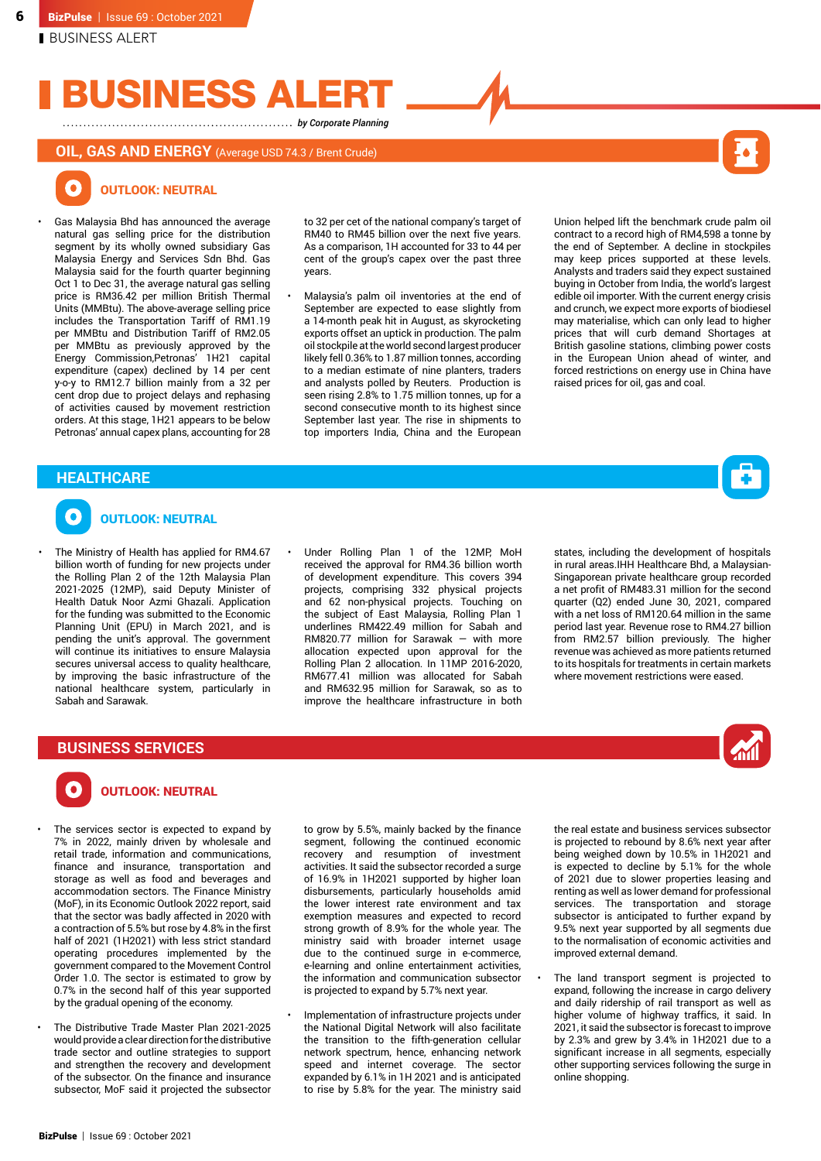# BUSINESS AI

*by Corporate Planning* 

# **OIL, GAS AND ENERGY** (Average USD 74.3 / Brent Crude)



#### O OUTLOOK: NEUTRAL

• Gas Malaysia Bhd has announced the average natural gas selling price for the distribution segment by its wholly owned subsidiary Gas Malaysia Energy and Services Sdn Bhd. Gas Malaysia said for the fourth quarter beginning Oct 1 to Dec 31, the average natural gas selling price is RM36.42 per million British Thermal Units (MMBtu). The above-average selling price includes the Transportation Tariff of RM1.19 per MMBtu and Distribution Tariff of RM2.05 per MMBtu as previously approved by the Energy Commission,Petronas' 1H21 capital expenditure (capex) declined by 14 per cent y-o-y to RM12.7 billion mainly from a 32 per cent drop due to project delays and rephasing of activities caused by movement restriction orders. At this stage, 1H21 appears to be below Petronas' annual capex plans, accounting for 28

to 32 per cet of the national company's target of RM40 to RM45 billion over the next five years. As a comparison, 1H accounted for 33 to 44 per cent of the group's capex over the past three years.

• Malaysia's palm oil inventories at the end of September are expected to ease slightly from a 14-month peak hit in August, as skyrocketing exports offset an uptick in production. The palm oil stockpile at the world second largest producer likely fell 0.36% to 1.87 million tonnes, according to a median estimate of nine planters, traders and analysts polled by Reuters. Production is seen rising 2.8% to 1.75 million tonnes, up for a second consecutive month to its highest since September last year. The rise in shipments to top importers India, China and the European Union helped lift the benchmark crude palm oil contract to a record high of RM4,598 a tonne by the end of September. A decline in stockpiles may keep prices supported at these levels. Analysts and traders said they expect sustained buying in October from India, the world's largest edible oil importer. With the current energy crisis and crunch, we expect more exports of biodiesel may materialise, which can only lead to higher prices that will curb demand Shortages at British gasoline stations, climbing power costs in the European Union ahead of winter, and forced restrictions on energy use in China have raised prices for oil, gas and coal.

# **HEALTHCARE**



# OUTLOOK: NEUTRAL

The Ministry of Health has applied for RM4.67 billion worth of funding for new projects under the Rolling Plan 2 of the 12th Malaysia Plan 2021-2025 (12MP), said Deputy Minister of Health Datuk Noor Azmi Ghazali. Application for the funding was submitted to the Economic Planning Unit (EPU) in March 2021, and is pending the unit's approval. The government will continue its initiatives to ensure Malaysia secures universal access to quality healthcare, by improving the basic infrastructure of the national healthcare system, particularly in Sabah and Sarawak.

• Under Rolling Plan 1 of the 12MP, MoH received the approval for RM4.36 billion worth of development expenditure. This covers 394 projects, comprising 332 physical projects and 62 non-physical projects. Touching on the subject of East Malaysia, Rolling Plan 1 underlines RM422.49 million for Sabah and RM820.77 million for Sarawak — with more allocation expected upon approval for the Rolling Plan 2 allocation. In 11MP 2016-2020, RM677.41 million was allocated for Sabah and RM632.95 million for Sarawak, so as to improve the healthcare infrastructure in both

states, including the development of hospitals in rural areas.IHH Healthcare Bhd, a Malaysian-Singaporean private healthcare group recorded a net profit of RM483.31 million for the second quarter (Q2) ended June 30, 2021, compared with a net loss of RM120.64 million in the same period last year. Revenue rose to RM4.27 billion from RM2.57 billion previously. The higher revenue was achieved as more patients returned to its hospitals for treatments in certain markets where movement restrictions were eased.



# **BUSINESS SERVICES**

# OUTLOOK: NEUTRAL

- The services sector is expected to expand by 7% in 2022, mainly driven by wholesale and retail trade, information and communications, finance and insurance, transportation and storage as well as food and beverages and accommodation sectors. The Finance Ministry (MoF), in its Economic Outlook 2022 report, said that the sector was badly affected in 2020 with a contraction of 5.5% but rose by 4.8% in the first half of 2021 (1H2021) with less strict standard operating procedures implemented by the government compared to the Movement Control Order 1.0. The sector is estimated to grow by 0.7% in the second half of this year supported by the gradual opening of the economy.
- The Distributive Trade Master Plan 2021-2025 would provide a clear direction for the distributive trade sector and outline strategies to support and strengthen the recovery and development of the subsector. On the finance and insurance subsector, MoF said it projected the subsector

to grow by 5.5%, mainly backed by the finance segment, following the continued economic recovery and resumption of investment activities. It said the subsector recorded a surge of 16.9% in 1H2021 supported by higher loan disbursements, particularly households amid the lower interest rate environment and tax exemption measures and expected to record strong growth of 8.9% for the whole year. The ministry said with broader internet usage due to the continued surge in e-commerce, e-learning and online entertainment activities, the information and communication subsector is projected to expand by 5.7% next year.

• Implementation of infrastructure projects under the National Digital Network will also facilitate the transition to the fifth-generation cellular network spectrum, hence, enhancing network speed and internet coverage. The sector expanded by 6.1% in 1H 2021 and is anticipated to rise by 5.8% for the year. The ministry said the real estate and business services subsector is projected to rebound by 8.6% next year after being weighed down by 10.5% in 1H2021 and is expected to decline by 5.1% for the whole of 2021 due to slower properties leasing and renting as well as lower demand for professional services. The transportation and storage subsector is anticipated to further expand by 9.5% next year supported by all segments due to the normalisation of economic activities and improved external demand.

The land transport segment is projected to expand, following the increase in cargo delivery and daily ridership of rail transport as well as higher volume of highway traffics, it said. In 2021, it said the subsector is forecast to improve by 2.3% and grew by 3.4% in 1H2021 due to a significant increase in all segments, especially other supporting services following the surge in online shopping.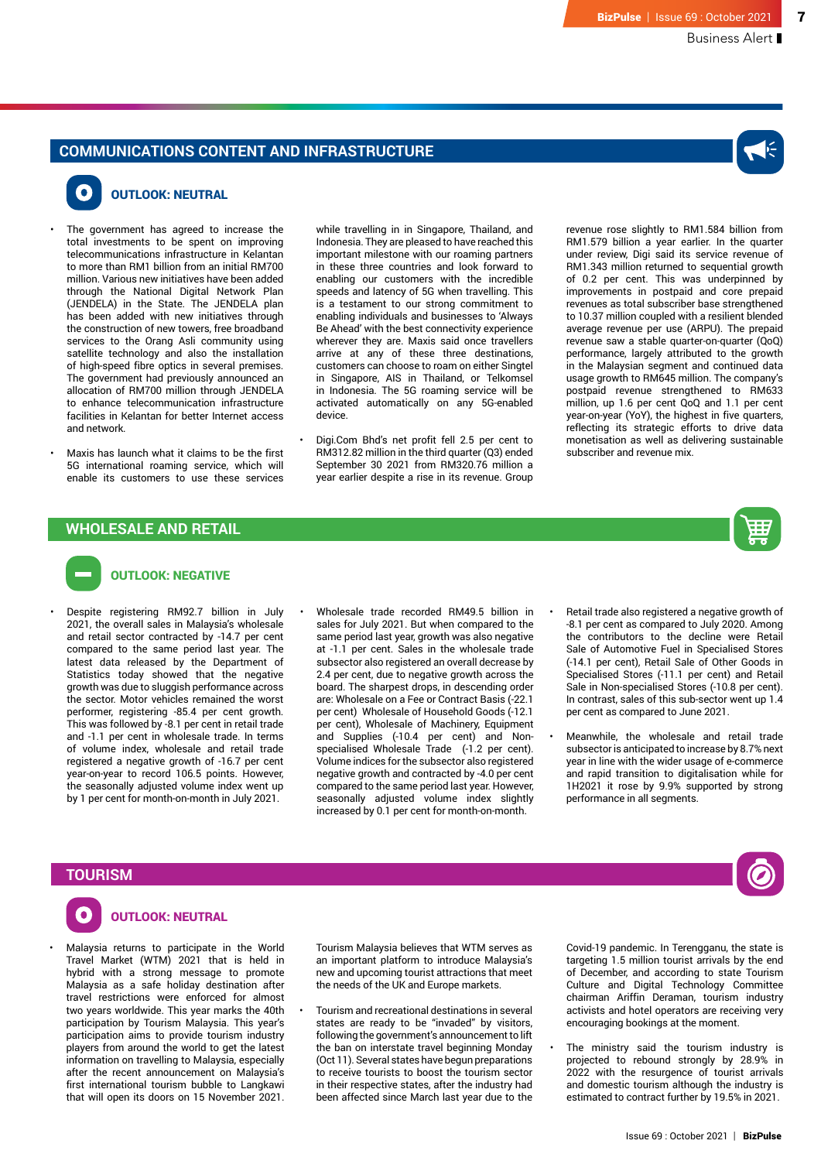# **COMMUNICATIONS CONTENT AND INFRASTRUCTURE**



7

# OUTLOOK: NEUTRAL

- The government has agreed to increase the total investments to be spent on improving telecommunications infrastructure in Kelantan to more than RM1 billion from an initial RM700 million. Various new initiatives have been added through the National Digital Network Plan (JENDELA) in the State. The JENDELA plan has been added with new initiatives through the construction of new towers, free broadband services to the Orang Asli community using satellite technology and also the installation of high-speed fibre optics in several premises. The government had previously announced an allocation of RM700 million through JENDELA to enhance telecommunication infrastructure facilities in Kelantan for better Internet access and network.
- Maxis has launch what it claims to be the first 5G international roaming service, which will enable its customers to use these services

while travelling in in Singapore, Thailand, and Indonesia. They are pleased to have reached this important milestone with our roaming partners in these three countries and look forward to enabling our customers with the incredible speeds and latency of 5G when travelling. This is a testament to our strong commitment to enabling individuals and businesses to 'Always Be Ahead' with the best connectivity experience wherever they are. Maxis said once travellers arrive at any of these three destinations, customers can choose to roam on either Singtel in Singapore, AIS in Thailand, or Telkomsel in Indonesia. The 5G roaming service will be activated automatically on any 5G-enabled device.

• Digi.Com Bhd's net profit fell 2.5 per cent to RM312.82 million in the third quarter (Q3) ended September 30 2021 from RM320.76 million a year earlier despite a rise in its revenue. Group

revenue rose slightly to RM1.584 billion from RM1.579 billion a year earlier. In the quarter under review, Digi said its service revenue of RM1.343 million returned to sequential growth of 0.2 per cent. This was underpinned by improvements in postpaid and core prepaid revenues as total subscriber base strengthened to 10.37 million coupled with a resilient blended average revenue per use (ARPU). The prepaid revenue saw a stable quarter-on-quarter (QoQ) performance, largely attributed to the growth in the Malaysian segment and continued data usage growth to RM645 million. The company's postpaid revenue strengthened to RM633 million, up 1.6 per cent QoQ and 1.1 per cent year-on-year (YoY), the highest in five quarters, reflecting its strategic efforts to drive data monetisation as well as delivering sustainable subscriber and revenue mix.

# **WHOLESALE AND RETAIL**



# OUTLOOK: NEGATIVE

- Despite registering RM92.7 billion in July 2021, the overall sales in Malaysia's wholesale and retail sector contracted by -14.7 per cent compared to the same period last year. The latest data released by the Department of Statistics today showed that the negative growth was due to sluggish performance across the sector. Motor vehicles remained the worst performer, registering -85.4 per cent growth. This was followed by -8.1 per cent in retail trade and -1.1 per cent in wholesale trade. In terms of volume index, wholesale and retail trade registered a negative growth of -16.7 per cent year-on-year to record 106.5 points. However, the seasonally adjusted volume index went up by 1 per cent for month-on-month in July 2021.
- Wholesale trade recorded RM49.5 billion in sales for July 2021. But when compared to the same period last year, growth was also negative at -1.1 per cent. Sales in the wholesale trade subsector also registered an overall decrease by 2.4 per cent, due to negative growth across the board. The sharpest drops, in descending order are: Wholesale on a Fee or Contract Basis (-22.1 per cent) Wholesale of Household Goods (-12.1 per cent), Wholesale of Machinery, Equipment and Supplies (-10.4 per cent) and Nonspecialised Wholesale Trade (-1.2 per cent). Volume indices for the subsector also registered negative growth and contracted by -4.0 per cent compared to the same period last year. However, seasonally adjusted volume index slightly increased by 0.1 per cent for month-on-month.
- Retail trade also registered a negative growth of -8.1 per cent as compared to July 2020. Among the contributors to the decline were Retail Sale of Automotive Fuel in Specialised Stores (-14.1 per cent), Retail Sale of Other Goods in Specialised Stores (-11.1 per cent) and Retail Sale in Non-specialised Stores (-10.8 per cent). In contrast, sales of this sub-sector went up 1.4 per cent as compared to June 2021.
- Meanwhile, the wholesale and retail trade subsector is anticipated to increase by 8.7% next year in line with the wider usage of e-commerce and rapid transition to digitalisation while for 1H2021 it rose by 9.9% supported by strong performance in all segments.

# **TOURISM**



# OUTLOOK: NEUTRAL

• Malaysia returns to participate in the World Travel Market (WTM) 2021 that is held in hybrid with a strong message to promote Malaysia as a safe holiday destination after travel restrictions were enforced for almost two years worldwide. This year marks the 40th participation by Tourism Malaysia. This year's participation aims to provide tourism industry players from around the world to get the latest information on travelling to Malaysia, especially after the recent announcement on Malaysia's first international tourism bubble to Langkawi that will open its doors on 15 November 2021.

Tourism Malaysia believes that WTM serves as an important platform to introduce Malaysia's new and upcoming tourist attractions that meet the needs of the UK and Europe markets.

• Tourism and recreational destinations in several states are ready to be "invaded" by visitors, following the government's announcement to lift the ban on interstate travel beginning Monday (Oct 11). Several states have begun preparations to receive tourists to boost the tourism sector in their respective states, after the industry had been affected since March last year due to the

Covid-19 pandemic. In Terengganu, the state is targeting 1.5 million tourist arrivals by the end of December, and according to state Tourism Culture and Digital Technology Committee chairman Ariffin Deraman, tourism industry activists and hotel operators are receiving very encouraging bookings at the moment.

The ministry said the tourism industry is projected to rebound strongly by 28.9% in 2022 with the resurgence of tourist arrivals and domestic tourism although the industry is estimated to contract further by 19.5% in 2021.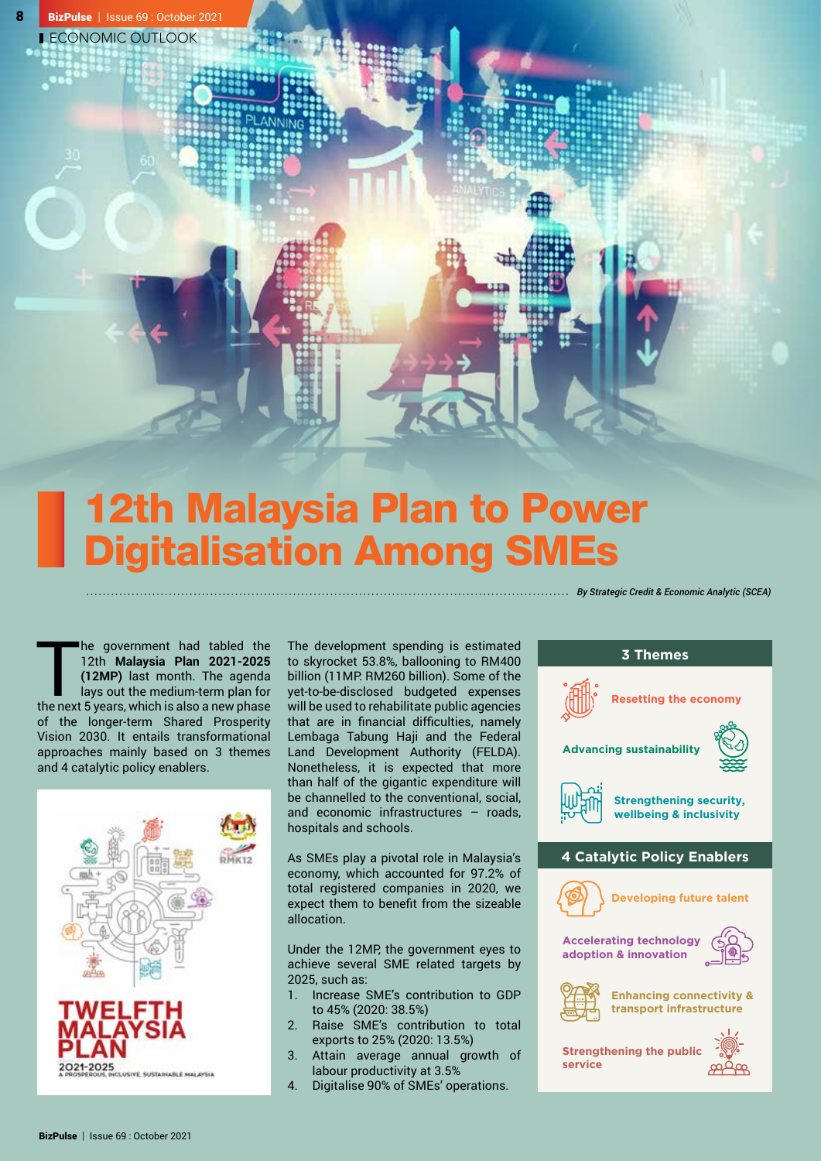# 12th Malaysia Plan to Power Digitalisation Among SMEs

The government had tabled the 12th **Malaysia Plan 2021-2025**<br>(12MP) last month. The agenda<br>lays out the medium-term plan for<br>the next 5 years, which is also a new phase he government had tabled the 12th **Malaysia Plan 2021-2025 (12MP)** last month. The agenda lays out the medium-term plan for of the longer-term Shared Prosperity Vision 2030. It entails transformational approaches mainly based on 3 themes and 4 catalytic policy enablers.



The development spending is estimated to skyrocket 53.8%, ballooning to RM400 billion (11MP: RM260 billion). Some of the yet-to-be-disclosed budgeted expenses will be used to rehabilitate public agencies that are in financial difficulties, namely Lembaga Tabung Haji and the Federal Land Development Authority (FELDA). Nonetheless, it is expected that more than half of the gigantic expenditure will be channelled to the conventional, social, and economic infrastructures – roads, hospitals and schools.

*By Strategic Credit & Economic Analytic (SCEA)*

As SMEs play a pivotal role in Malaysia's economy, which accounted for 97.2% of total registered companies in 2020, we expect them to benefit from the sizeable allocation.

Under the 12MP, the government eyes to achieve several SME related targets by 2025, such as:

- 1. Increase SME's contribution to GDP to 45% (2020: 38.5%)
- 2. Raise SME's contribution to total exports to 25% (2020: 13.5%)
- 3. Attain average annual growth of labour productivity at 3.5%
- 4. Digitalise 90% of SMEs' operations.

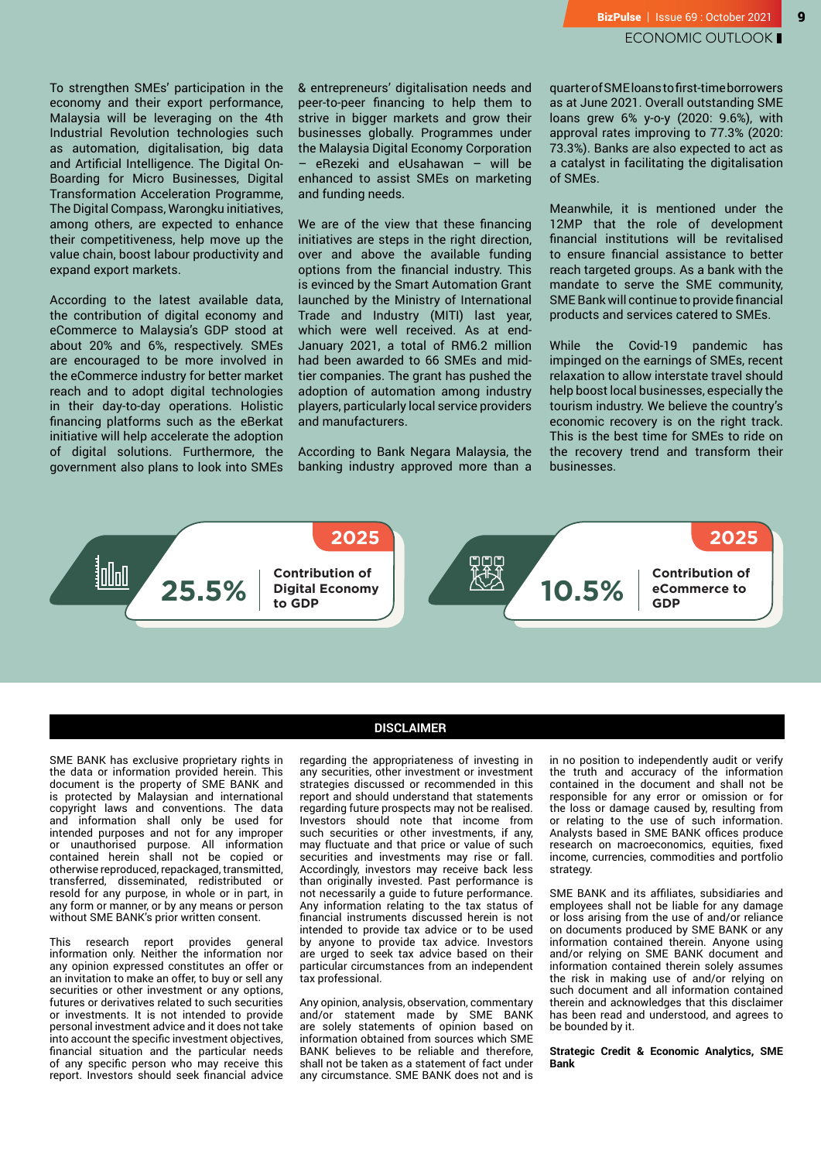To strengthen SMEs' participation in the economy and their export performance, Malaysia will be leveraging on the 4th Industrial Revolution technologies such as automation, digitalisation, big data and Artificial Intelligence. The Digital On-Boarding for Micro Businesses, Digital Transformation Acceleration Programme, The Digital Compass, Warongku initiatives, among others, are expected to enhance their competitiveness, help move up the value chain, boost labour productivity and expand export markets.

According to the latest available data, the contribution of digital economy and eCommerce to Malaysia's GDP stood at about 20% and 6%, respectively. SMEs are encouraged to be more involved in the eCommerce industry for better market reach and to adopt digital technologies in their day-to-day operations. Holistic financing platforms such as the eBerkat initiative will help accelerate the adoption of digital solutions. Furthermore, the government also plans to look into SMEs & entrepreneurs' digitalisation needs and peer-to-peer financing to help them to strive in bigger markets and grow their businesses globally. Programmes under the Malaysia Digital Economy Corporation – eRezeki and eUsahawan – will be enhanced to assist SMEs on marketing and funding needs.

We are of the view that these financing initiatives are steps in the right direction, over and above the available funding options from the financial industry. This is evinced by the Smart Automation Grant launched by the Ministry of International Trade and Industry (MITI) last year, which were well received. As at end-January 2021, a total of RM6.2 million had been awarded to 66 SMEs and midtier companies. The grant has pushed the adoption of automation among industry players, particularly local service providers and manufacturers.

According to Bank Negara Malaysia, the banking industry approved more than a quarter of SME loans to first-time borrowers as at June 2021. Overall outstanding SME loans grew 6% y-o-y (2020: 9.6%), with approval rates improving to 77.3% (2020: 73.3%). Banks are also expected to act as a catalyst in facilitating the digitalisation of SMEs.

Meanwhile, it is mentioned under the 12MP that the role of development financial institutions will be revitalised to ensure financial assistance to better reach targeted groups. As a bank with the mandate to serve the SME community, SME Bank will continue to provide financial products and services catered to SMEs.

While the Covid-19 pandemic has impinged on the earnings of SMEs, recent relaxation to allow interstate travel should help boost local businesses, especially the tourism industry. We believe the country's economic recovery is on the right track. This is the best time for SMEs to ride on the recovery trend and transform their businesses.



SME BANK has exclusive proprietary rights in the data or information provided herein. This document is the property of SME BANK and is protected by Malaysian and international copyright laws and conventions. The data and information shall only be used for intended purposes and not for any improper or unauthorised purpose. All information contained herein shall not be copied or otherwise reproduced, repackaged, transmitted, transferred, disseminated, redistributed or resold for any purpose, in whole or in part, in any form or manner, or by any means or person without SME BANK's prior written consent.

This research report provides general information only. Neither the information nor any opinion expressed constitutes an offer or an invitation to make an offer, to buy or sell any securities or other investment or any options, futures or derivatives related to such securities or investments. It is not intended to provide personal investment advice and it does not take into account the specific investment objectives, financial situation and the particular needs of any specific person who may receive this report. Investors should seek financial advice

### **DISCLAIMER**

regarding the appropriateness of investing in any securities, other investment or investment strategies discussed or recommended in this report and should understand that statements regarding future prospects may not be realised. Investors should note that income from such securities or other investments, if any, may fluctuate and that price or value of such securities and investments may rise or fall. Accordingly, investors may receive back less than originally invested. Past performance is not necessarily a guide to future performance. Any information relating to the tax status of financial instruments discussed herein is not intended to provide tax advice or to be used by anyone to provide tax advice. Investors are urged to seek tax advice based on their particular circumstances from an independent tax professional.

Any opinion, analysis, observation, commentary and/or statement made by SME BANK are solely statements of opinion based on information obtained from sources which SME BANK believes to be reliable and therefore, shall not be taken as a statement of fact under any circumstance. SME BANK does not and is

in no position to independently audit or verify the truth and accuracy of the information contained in the document and shall not be responsible for any error or omission or for the loss or damage caused by, resulting from or relating to the use of such information. Analysts based in SME BANK offices produce research on macroeconomics, equities, fixed income, currencies, commodities and portfolio strategy.

SME BANK and its affiliates, subsidiaries and employees shall not be liable for any damage or loss arising from the use of and/or reliance on documents produced by SME BANK or any information contained therein. Anyone using and/or relying on SME BANK document and information contained therein solely assumes the risk in making use of and/or relying on such document and all information contained therein and acknowledges that this disclaimer has been read and understood, and agrees to be bounded by it.

**Strategic Credit & Economic Analytics, SME Bank**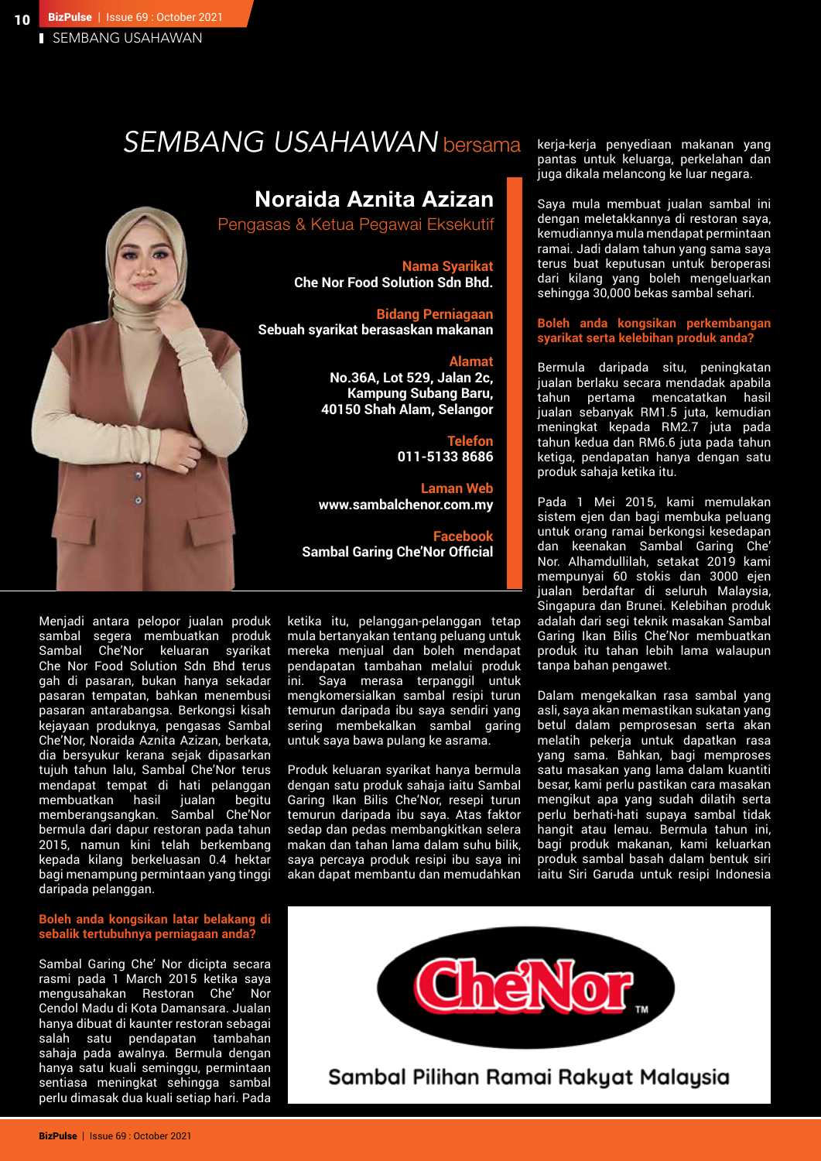# *SEMBANG USAHAWAN* bersama

# Noraida Aznita Azizan

Pengasas & Ketua Pegawai Eksekutif

**Nama Syarikat Che Nor Food Solution Sdn Bhd.**

**Bidang Perniagaan Sebuah syarikat berasaskan makanan** 

# **Alamat**

**No.36A, Lot 529, Jalan 2c, Kampung Subang Baru, 40150 Shah Alam, Selangor**

> **Telefon 011-5133 8686**

**Laman Web www.sambalchenor.com.my**

**Facebook Sambal Garing Che'Nor Official** 

Menjadi antara pelopor jualan produk sambal segera membuatkan produk Sambal Che'Nor keluaran syarikat Che Nor Food Solution Sdn Bhd terus gah di pasaran, bukan hanya sekadar pasaran tempatan, bahkan menembusi pasaran antarabangsa. Berkongsi kisah kejayaan produknya, pengasas Sambal Che'Nor, Noraida Aznita Azizan, berkata, dia bersyukur kerana sejak dipasarkan tujuh tahun lalu, Sambal Che'Nor terus mendapat tempat di hati pelanggan membuatkan hasil jualan begitu memberangsangkan. Sambal Che'Nor bermula dari dapur restoran pada tahun 2015, namun kini telah berkembang kepada kilang berkeluasan 0.4 hektar bagi menampung permintaan yang tinggi daripada pelanggan.

6 ö

# **Boleh anda kongsikan latar belakang di sebalik tertubuhnya perniagaan anda?**

Sambal Garing Che' Nor dicipta secara rasmi pada 1 March 2015 ketika saya mengusahakan Restoran Che' Nor Cendol Madu di Kota Damansara. Jualan hanya dibuat di kaunter restoran sebagai salah satu pendapatan tambahan sahaja pada awalnya. Bermula dengan hanya satu kuali seminggu, permintaan sentiasa meningkat sehingga sambal perlu dimasak dua kuali setiap hari. Pada ketika itu, pelanggan-pelanggan tetap mula bertanyakan tentang peluang untuk mereka menjual dan boleh mendapat pendapatan tambahan melalui produk ini. Saya merasa terpanggil untuk mengkomersialkan sambal resipi turun temurun daripada ibu saya sendiri yang sering membekalkan sambal garing untuk saya bawa pulang ke asrama.

Produk keluaran syarikat hanya bermula dengan satu produk sahaja iaitu Sambal Garing Ikan Bilis Che'Nor, resepi turun temurun daripada ibu saya. Atas faktor sedap dan pedas membangkitkan selera makan dan tahan lama dalam suhu bilik, saya percaya produk resipi ibu saya ini akan dapat membantu dan memudahkan

kerja-kerja penyediaan makanan yang pantas untuk keluarga, perkelahan dan juga dikala melancong ke luar negara.

Saya mula membuat jualan sambal ini dengan meletakkannya di restoran saya, kemudiannya mula mendapat permintaan ramai. Jadi dalam tahun yang sama saya terus buat keputusan untuk beroperasi dari kilang yang boleh mengeluarkan sehingga 30,000 bekas sambal sehari.

# **Boleh anda kongsikan perkembangan syarikat serta kelebihan produk anda?**

Bermula daripada situ, peningkatan jualan berlaku secara mendadak apabila tahun pertama mencatatkan hasil jualan sebanyak RM1.5 juta, kemudian meningkat kepada RM2.7 juta pada tahun kedua dan RM6.6 juta pada tahun ketiga, pendapatan hanya dengan satu produk sahaja ketika itu.

Pada 1 Mei 2015, kami memulakan sistem ejen dan bagi membuka peluang untuk orang ramai berkongsi kesedapan dan keenakan Sambal Garing Che' Nor. Alhamdullilah, setakat 2019 kami mempunyai 60 stokis dan 3000 ejen jualan berdaftar di seluruh Malaysia, Singapura dan Brunei. Kelebihan produk adalah dari segi teknik masakan Sambal Garing Ikan Bilis Che'Nor membuatkan produk itu tahan lebih lama walaupun tanpa bahan pengawet.

Dalam mengekalkan rasa sambal yang asli, saya akan memastikan sukatan yang betul dalam pemprosesan serta akan melatih pekerja untuk dapatkan rasa yang sama. Bahkan, bagi memproses satu masakan yang lama dalam kuantiti besar, kami perlu pastikan cara masakan mengikut apa yang sudah dilatih serta perlu berhati-hati supaya sambal tidak hangit atau lemau. Bermula tahun ini, bagi produk makanan, kami keluarkan produk sambal basah dalam bentuk siri iaitu Siri Garuda untuk resipi Indonesia

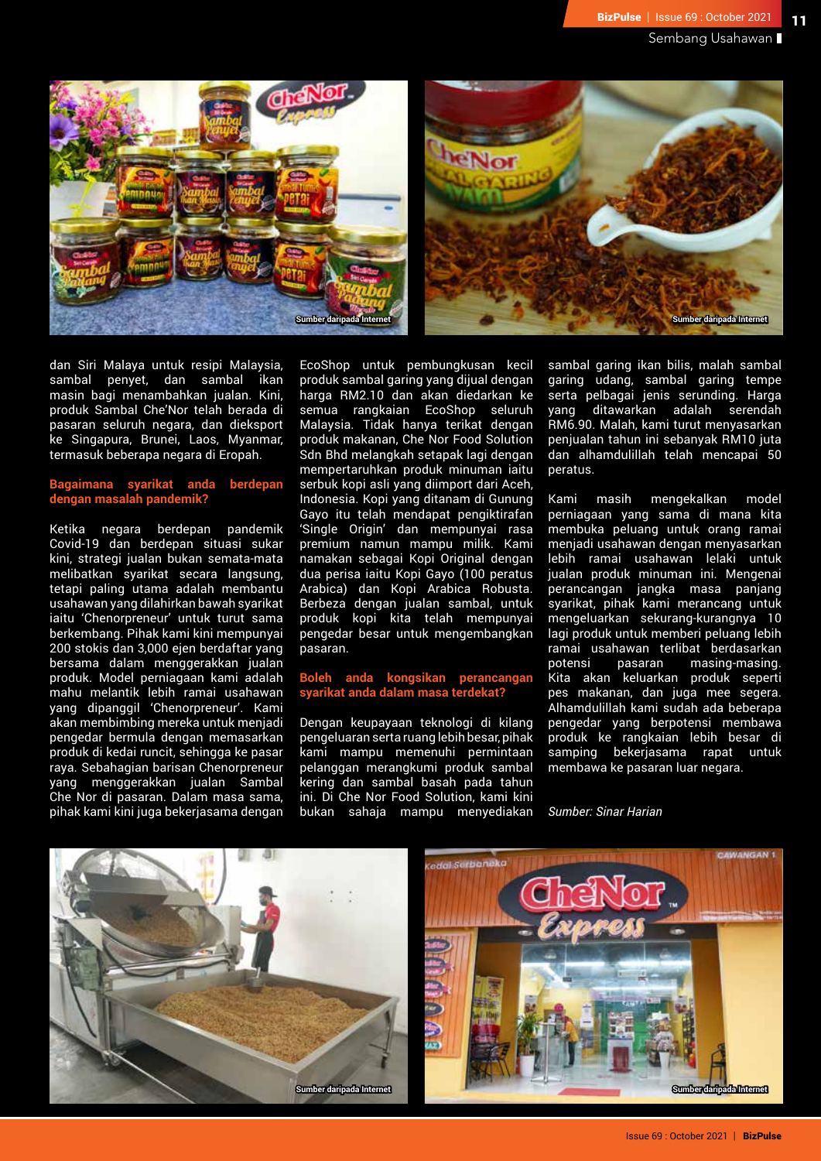



dan Siri Malaya untuk resipi Malaysia, sambal penyet, dan sambal ikan masin bagi menambahkan jualan. Kini, produk Sambal Che'Nor telah berada di pasaran seluruh negara, dan dieksport ke Singapura, Brunei, Laos, Myanmar, termasuk beberapa negara di Eropah.

# **Bagaimana syarikat anda berdepan dengan masalah pandemik?**

Ketika negara berdepan pandemik Covid-19 dan berdepan situasi sukar kini, strategi jualan bukan semata-mata melibatkan syarikat secara langsung, tetapi paling utama adalah membantu usahawan yang dilahirkan bawah syarikat iaitu 'Chenorpreneur' untuk turut sama berkembang. Pihak kami kini mempunyai 200 stokis dan 3,000 ejen berdaftar yang bersama dalam menggerakkan jualan produk. Model perniagaan kami adalah mahu melantik lebih ramai usahawan yang dipanggil 'Chenorpreneur'. Kami akan membimbing mereka untuk menjadi pengedar bermula dengan memasarkan produk di kedai runcit, sehingga ke pasar raya. Sebahagian barisan Chenorpreneur yang menggerakkan jualan Sambal Che Nor di pasaran. Dalam masa sama, pihak kami kini juga bekerjasama dengan

EcoShop untuk pembungkusan kecil produk sambal garing yang dijual dengan harga RM2.10 dan akan diedarkan ke semua rangkaian EcoShop seluruh Malaysia. Tidak hanya terikat dengan produk makanan, Che Nor Food Solution Sdn Bhd melangkah setapak lagi dengan mempertaruhkan produk minuman iaitu serbuk kopi asli yang diimport dari Aceh, Indonesia. Kopi yang ditanam di Gunung Gayo itu telah mendapat pengiktirafan 'Single Origin' dan mempunyai rasa premium namun mampu milik. Kami namakan sebagai Kopi Original dengan dua perisa iaitu Kopi Gayo (100 peratus Arabica) dan Kopi Arabica Robusta. Berbeza dengan jualan sambal, untuk produk kopi kita telah mempunyai pengedar besar untuk mengembangkan pasaran.

# **Boleh anda kongsikan perancangan syarikat anda dalam masa terdekat?**

Dengan keupayaan teknologi di kilang pengeluaran serta ruang lebih besar, pihak kami mampu memenuhi permintaan pelanggan merangkumi produk sambal kering dan sambal basah pada tahun ini. Di Che Nor Food Solution, kami kini bukan sahaja mampu menyediakan sambal garing ikan bilis, malah sambal garing udang, sambal garing tempe serta pelbagai jenis serunding. Harga yang ditawarkan adalah serendah RM6.90. Malah, kami turut menyasarkan penjualan tahun ini sebanyak RM10 juta dan alhamdulillah telah mencapai 50 peratus.

Kami masih mengekalkan model perniagaan yang sama di mana kita membuka peluang untuk orang ramai menjadi usahawan dengan menyasarkan lebih ramai usahawan lelaki untuk jualan produk minuman ini. Mengenai perancangan jangka masa panjang syarikat, pihak kami merancang untuk mengeluarkan sekurang-kurangnya 10 lagi produk untuk memberi peluang lebih ramai usahawan terlibat berdasarkan potensi pasaran masing-masing. Kita akan keluarkan produk seperti pes makanan, dan juga mee segera. Alhamdulillah kami sudah ada beberapa pengedar yang berpotensi membawa produk ke rangkaian lebih besar di samping bekerjasama rapat untuk membawa ke pasaran luar negara.

*Sumber: Sinar Harian*